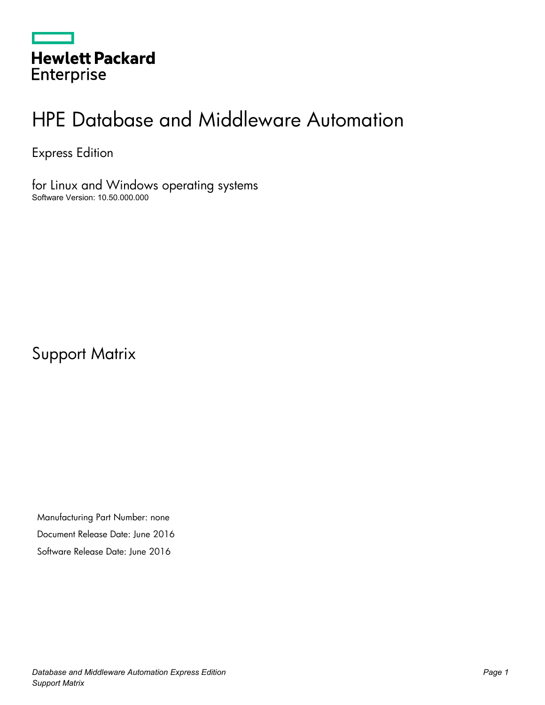|                   | <b>Hewlett Packard</b> |  |
|-------------------|------------------------|--|
| <b>Enterprise</b> |                        |  |

# HPE Database and Middleware Automation

Express Edition

for Linux and Windows operating systems Software Version: 10.50.000.000

Support Matrix

Manufacturing Part Number: none Document Release Date: June 2016 Software Release Date: June 2016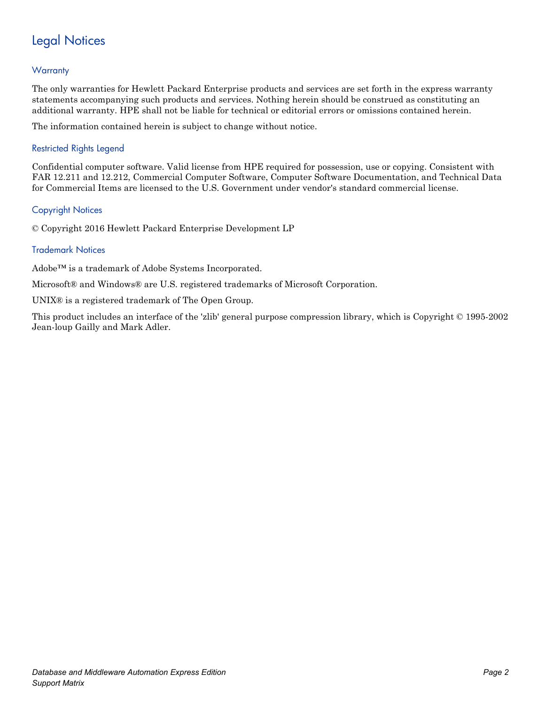# Legal Notices

#### **Warranty**

The only warranties for Hewlett Packard Enterprise products and services are set forth in the express warranty statements accompanying such products and services. Nothing herein should be construed as constituting an additional warranty. HPE shall not be liable for technical or editorial errors or omissions contained herein.

The information contained herein is subject to change without notice.

#### Restricted Rights Legend

Confidential computer software. Valid license from HPE required for possession, use or copying. Consistent with FAR 12.211 and 12.212, Commercial Computer Software, Computer Software Documentation, and Technical Data for Commercial Items are licensed to the U.S. Government under vendor's standard commercial license.

#### Copyright Notices

© Copyright 2016 Hewlett Packard Enterprise Development LP

#### Trademark Notices

Adobe™ is a trademark of Adobe Systems Incorporated.

Microsoft® and Windows® are U.S. registered trademarks of Microsoft Corporation.

UNIX<sup>®</sup> is a registered trademark of The Open Group.

This product includes an interface of the 'zlib' general purpose compression library, which is Copyright © 1995-2002 Jean-loup Gailly and Mark Adler.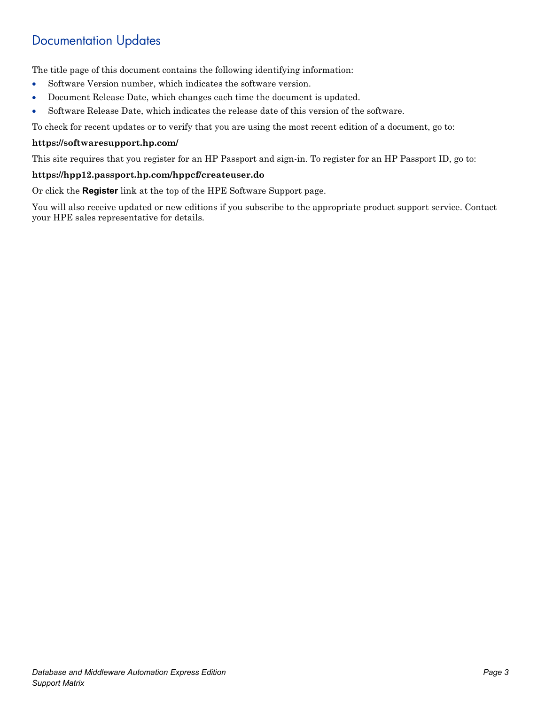# Documentation Updates

The title page of this document contains the following identifying information:

- Software Version number, which indicates the software version.
- Document Release Date, which changes each time the document is updated.
- Software Release Date, which indicates the release date of this version of the software.

To check for recent updates or to verify that you are using the most recent edition of a document, go to:

#### **<https://softwaresupport.hp.com/>**

This site requires that you register for an HP Passport and sign-in. To register for an HP Passport ID, go to:

#### **<https://hpp12.passport.hp.com/hppcf/createuser.do>**

Or click the **Register** link at the top of the HPE Software Support page.

You will also receive updated or new editions if you subscribe to the appropriate product support service. Contact your HPE sales representative for details.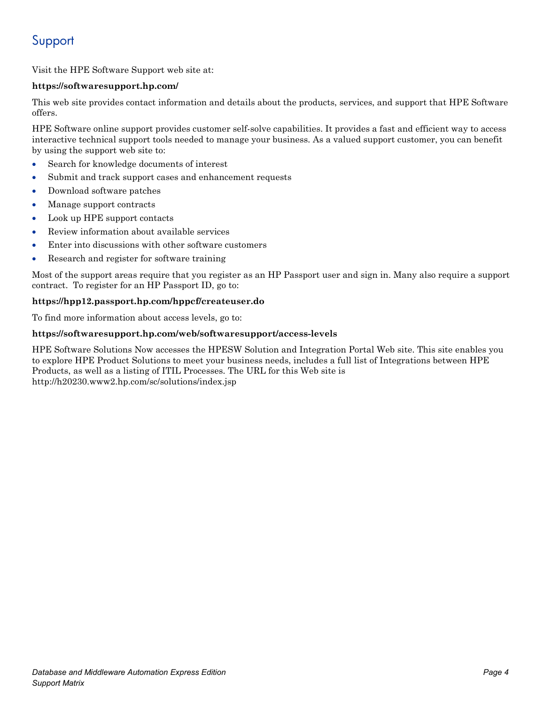# Support

Visit the HPE Software Support web site at:

#### **<https://softwaresupport.hp.com/>**

This web site provides contact information and details about the products, services, and support that HPE Software offers.

HPE Software online support provides customer self-solve capabilities. It provides a fast and efficient way to access interactive technical support tools needed to manage your business. As a valued support customer, you can benefit by using the support web site to:

- Search for knowledge documents of interest
- Submit and track support cases and enhancement requests
- Download software patches
- Manage support contracts
- Look up HPE support contacts
- Review information about available services
- Enter into discussions with other software customers
- Research and register for software training

Most of the support areas require that you register as an HP Passport user and sign in. Many also require a support contract. To register for an HP Passport ID, go to:

#### **<https://hpp12.passport.hp.com/hppcf/createuser.do>**

To find more information about access levels, go to:

#### **<https://softwaresupport.hp.com/web/softwaresupport/access-levels>**

HPE Software Solutions Now accesses the HPESW Solution and Integration Portal Web site. This site enables you to explore HPE Product Solutions to meet your business needs, includes a full list of Integrations between HPE Products, as well as a listing of ITIL Processes. The URL for this Web site is http://h20230.www2.hp.com/sc/solutions/index.jsp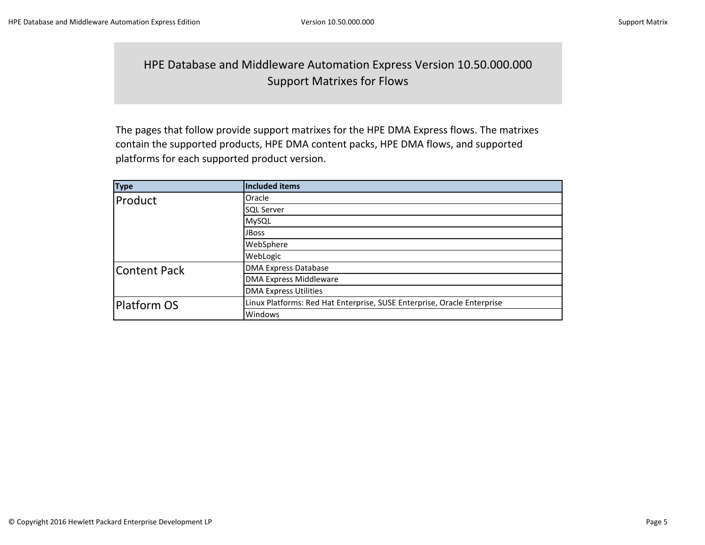### HPE Database and Middleware Automation Express Version 10.50.000.000 Support Matrixes for Flows

The pages that follow provide support matrixes for the HPE DMA Express flows. The matrixes contain the supported products, HPE DMA content packs, HPE DMA flows, and supported platforms for each supported product version.

| <b>Type</b>         | Included items                                                          |  |
|---------------------|-------------------------------------------------------------------------|--|
| Product             | Oracle                                                                  |  |
|                     | <b>SQL Server</b>                                                       |  |
|                     | MySQL                                                                   |  |
|                     | <b>JBoss</b>                                                            |  |
|                     | WebSphere                                                               |  |
|                     | WebLogic                                                                |  |
| <b>Content Pack</b> | <b>DMA Express Database</b>                                             |  |
|                     | <b>DMA Express Middleware</b>                                           |  |
|                     | <b>DMA Express Utilities</b>                                            |  |
| <b>Platform OS</b>  | Linux Platforms: Red Hat Enterprise, SUSE Enterprise, Oracle Enterprise |  |
|                     | Windows                                                                 |  |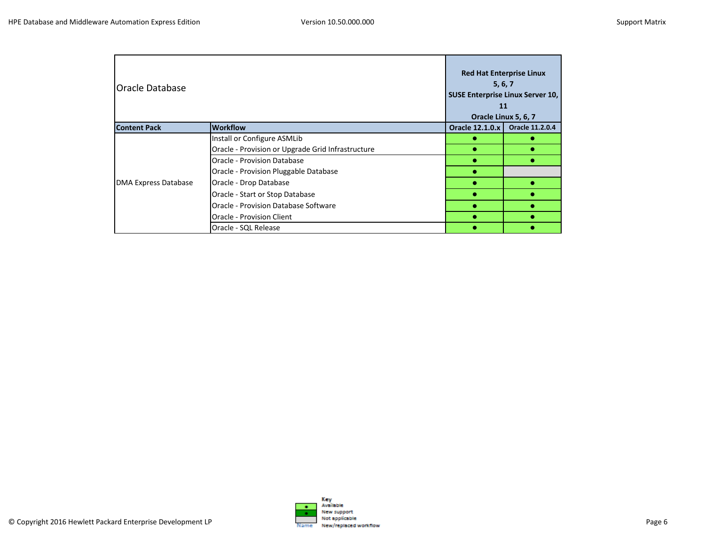| <b>Oracle Database</b>      |                                                   |                        | <b>Red Hat Enterprise Linux</b><br>5, 6, 7<br><b>SUSE Enterprise Linux Server 10,</b><br>11<br>Oracle Linux 5, 6, 7 |
|-----------------------------|---------------------------------------------------|------------------------|---------------------------------------------------------------------------------------------------------------------|
| <b>Content Pack</b>         | <b>Workflow</b>                                   | <b>Oracle 12.1.0.x</b> | <b>Oracle 11.2.0.4</b>                                                                                              |
|                             | Install or Configure ASMLib                       |                        |                                                                                                                     |
|                             | Oracle - Provision or Upgrade Grid Infrastructure |                        |                                                                                                                     |
|                             | Oracle - Provision Database                       |                        |                                                                                                                     |
|                             | Oracle - Provision Pluggable Database             |                        |                                                                                                                     |
| <b>DMA Express Database</b> | Oracle - Drop Database                            |                        |                                                                                                                     |
|                             | Oracle - Start or Stop Database                   |                        |                                                                                                                     |
|                             | Oracle - Provision Database Software              |                        |                                                                                                                     |
|                             | Oracle - Provision Client                         |                        |                                                                                                                     |
|                             | Oracle - SQL Release                              |                        |                                                                                                                     |

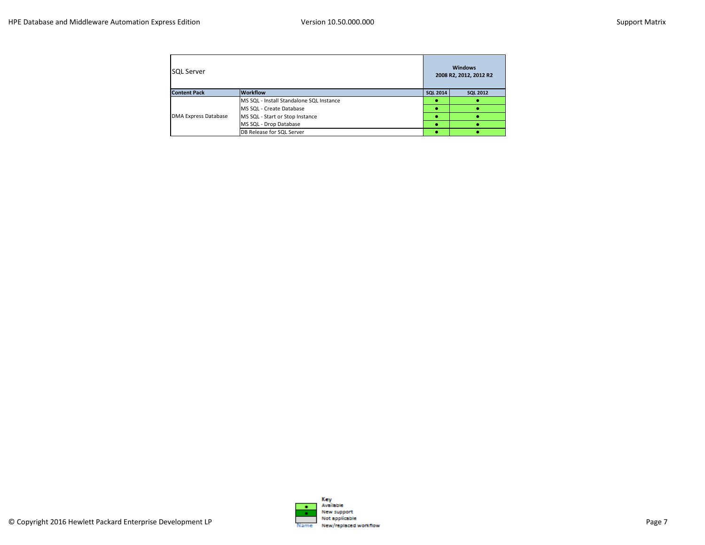| <b>SOL Server</b>                      |                                          |                 | <b>Windows</b><br>2008 R2, 2012, 2012 R2 |
|----------------------------------------|------------------------------------------|-----------------|------------------------------------------|
| <b>Workflow</b><br><b>Content Pack</b> |                                          | <b>SQL 2014</b> | <b>SQL 2012</b>                          |
|                                        | MS SQL - Install Standalone SQL Instance |                 |                                          |
|                                        | MS SQL - Create Database                 |                 |                                          |
| <b>DMA Express Database</b>            | MS SQL - Start or Stop Instance          |                 |                                          |
|                                        | MS SQL - Drop Database                   |                 |                                          |
|                                        | DB Release for SQL Server                |                 |                                          |

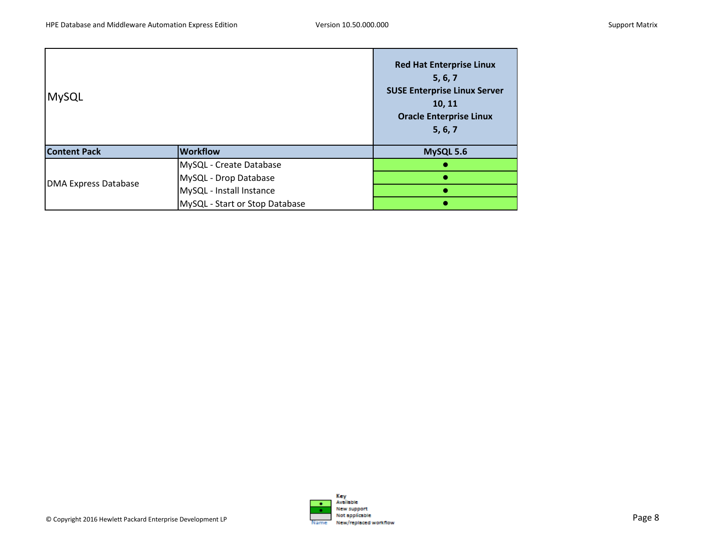| <b>MySQL</b>                |                                | <b>Red Hat Enterprise Linux</b><br>5, 6, 7<br><b>SUSE Enterprise Linux Server</b><br>10, 11<br><b>Oracle Enterprise Linux</b><br>5, 6, 7 |
|-----------------------------|--------------------------------|------------------------------------------------------------------------------------------------------------------------------------------|
| <b>Content Pack</b>         | <b>Workflow</b>                | MySQL 5.6                                                                                                                                |
|                             | MySQL - Create Database        |                                                                                                                                          |
|                             | MySQL - Drop Database          |                                                                                                                                          |
| <b>DMA Express Database</b> | MySQL - Install Instance       |                                                                                                                                          |
|                             | MySQL - Start or Stop Database |                                                                                                                                          |

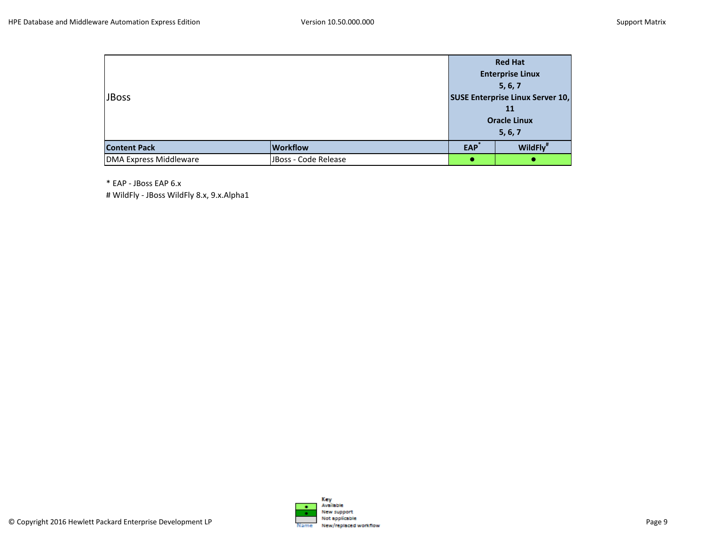|                               |                      |            | <b>Red Hat</b>                          |
|-------------------------------|----------------------|------------|-----------------------------------------|
|                               |                      |            | <b>Enterprise Linux</b>                 |
|                               |                      |            | 5, 6, 7                                 |
| <b>JBoss</b>                  |                      |            | <b>SUSE Enterprise Linux Server 10,</b> |
|                               |                      |            | 11                                      |
|                               |                      |            | <b>Oracle Linux</b>                     |
|                               |                      |            | 5, 6, 7                                 |
| <b>Content Pack</b>           | <b>Workflow</b>      | <b>EAP</b> | WildFly <sup>#</sup>                    |
| <b>DMA Express Middleware</b> | JBoss - Code Release |            |                                         |

\* EAP - JBoss EAP 6.x

# WildFly - JBoss WildFly 8.x, 9.x.Alpha1

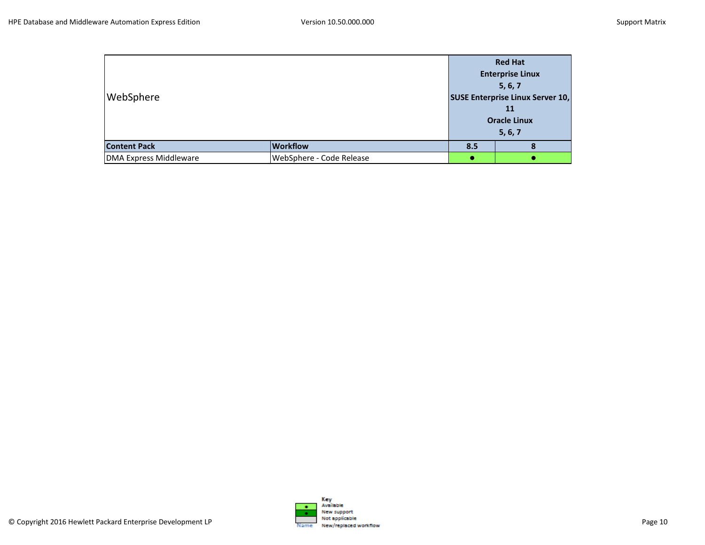| WebSphere                     |                          | <b>Red Hat</b><br><b>Enterprise Linux</b><br>5, 6, 7<br><b>SUSE Enterprise Linux Server 10,</b><br>11<br><b>Oracle Linux</b> |         |
|-------------------------------|--------------------------|------------------------------------------------------------------------------------------------------------------------------|---------|
|                               |                          |                                                                                                                              | 5, 6, 7 |
| <b>Content Pack</b>           | <b>Workflow</b>          | 8.5                                                                                                                          |         |
| <b>DMA Express Middleware</b> | WebSphere - Code Release |                                                                                                                              |         |

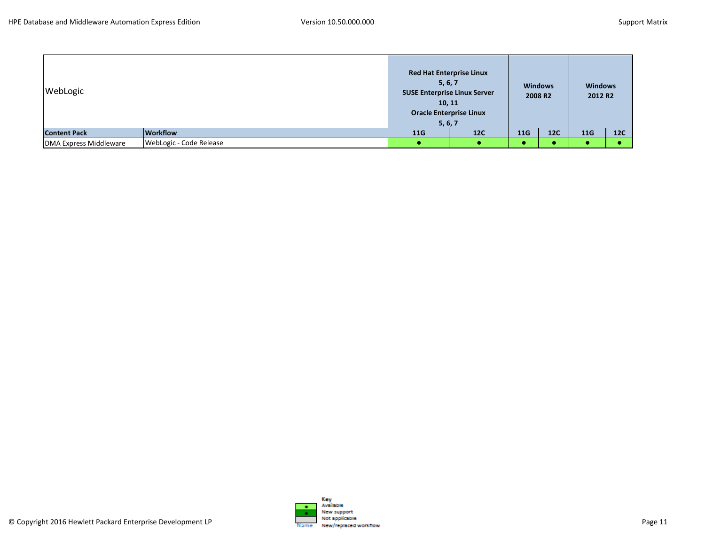| WebLogic               |                         | <b>Red Hat Enterprise Linux</b><br>5, 6, 7<br><b>SUSE Enterprise Linux Server</b><br>10, 11<br><b>Oracle Enterprise Linux</b><br>5, 6, 7 |     |     | <b>Windows</b><br>2008 R <sub>2</sub> | <b>Windows</b><br>2012 R <sub>2</sub> |     |
|------------------------|-------------------------|------------------------------------------------------------------------------------------------------------------------------------------|-----|-----|---------------------------------------|---------------------------------------|-----|
| <b>Content Pack</b>    | <b>Workflow</b>         | 11G                                                                                                                                      | 12C | 11G | <b>12C</b>                            | 11G                                   | 12C |
| DMA Express Middleware | WebLogic - Code Release |                                                                                                                                          |     |     |                                       |                                       |     |

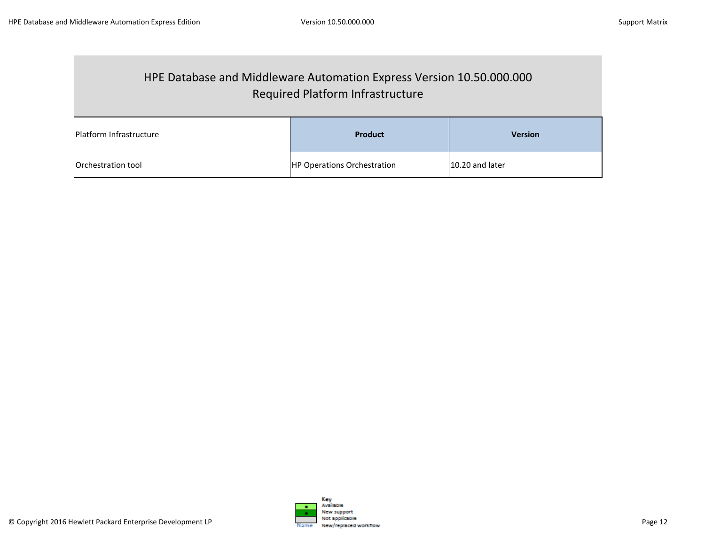## HPE Database and Middleware Automation Express Version 10.50.000.000 Required Platform Infrastructure

| Platform Infrastructure | Product                            | <b>Version</b>  |
|-------------------------|------------------------------------|-----------------|
| Orchestration tool      | <b>HP Operations Orchestration</b> | 10.20 and later |